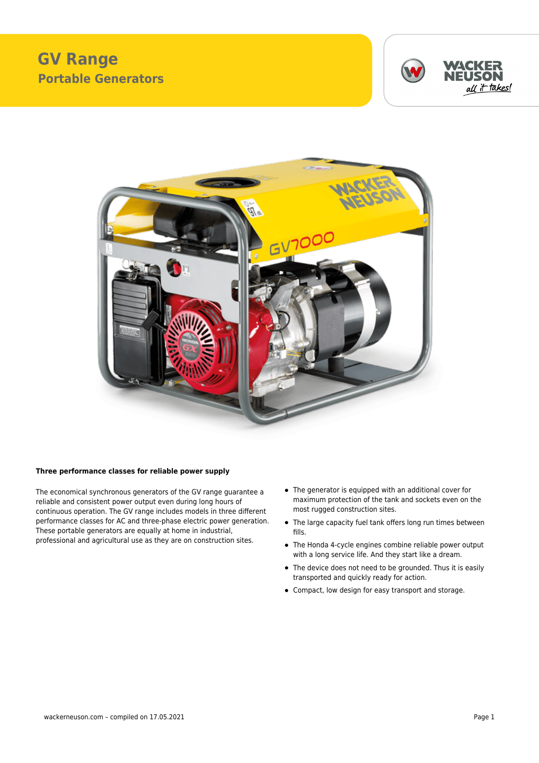## **GV Range Portable Generators**





## **Three performance classes for reliable power supply**

The economical synchronous generators of the GV range guarantee a reliable and consistent power output even during long hours of continuous operation. The GV range includes models in three different performance classes for AC and three-phase electric power generation. These portable generators are equally at home in industrial, professional and agricultural use as they are on construction sites.

- The generator is equipped with an additional cover for maximum protection of the tank and sockets even on the most rugged construction sites.
- The large capacity fuel tank offers long run times between fills.
- The Honda 4-cycle engines combine reliable power output with a long service life. And they start like a dream.
- The device does not need to be grounded. Thus it is easily transported and quickly ready for action.
- Compact, low design for easy transport and storage.